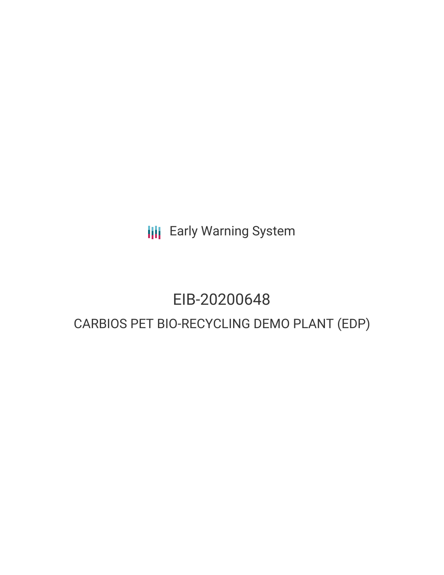**III** Early Warning System

# EIB-20200648

## CARBIOS PET BIO-RECYCLING DEMO PLANT (EDP)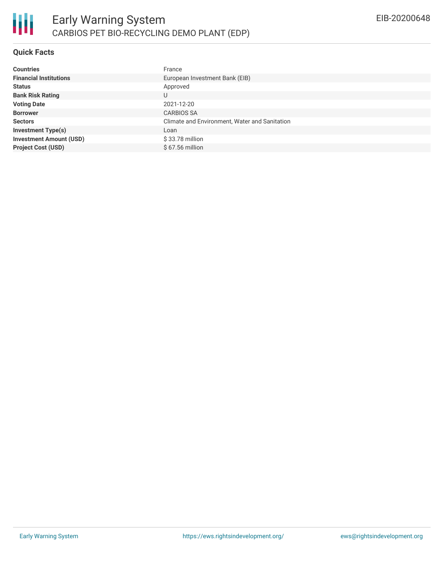

#### **Quick Facts**

| <b>Countries</b>               | France                                        |  |  |  |
|--------------------------------|-----------------------------------------------|--|--|--|
| <b>Financial Institutions</b>  | European Investment Bank (EIB)                |  |  |  |
| <b>Status</b>                  | Approved                                      |  |  |  |
| <b>Bank Risk Rating</b>        | U                                             |  |  |  |
| <b>Voting Date</b>             | 2021-12-20                                    |  |  |  |
| <b>Borrower</b>                | <b>CARBIOS SA</b>                             |  |  |  |
| <b>Sectors</b>                 | Climate and Environment, Water and Sanitation |  |  |  |
| <b>Investment Type(s)</b>      | Loan                                          |  |  |  |
| <b>Investment Amount (USD)</b> | \$33.78 million                               |  |  |  |
| <b>Project Cost (USD)</b>      | $$67.56$ million                              |  |  |  |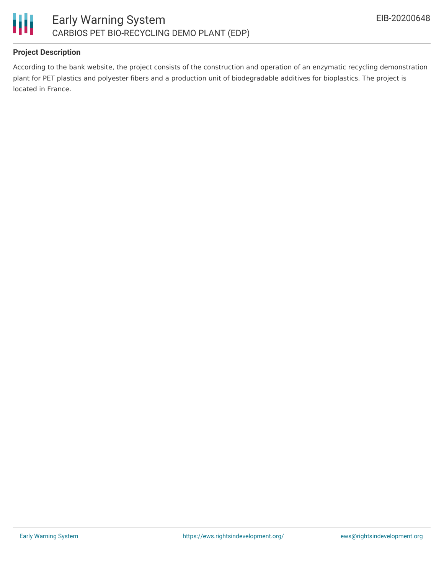

#### **Project Description**

According to the bank website, the project consists of the construction and operation of an enzymatic recycling demonstration plant for PET plastics and polyester fibers and a production unit of biodegradable additives for bioplastics. The project is located in France.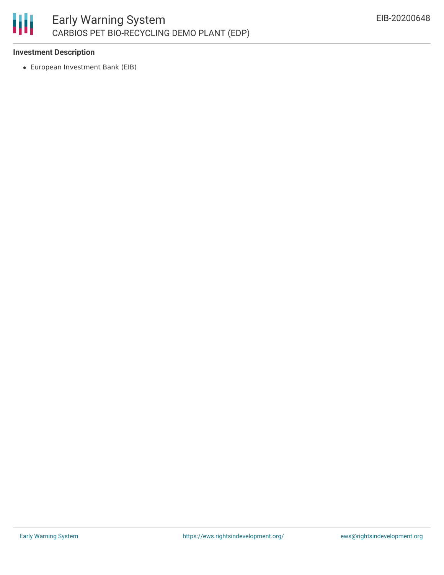

#### **Investment Description**

European Investment Bank (EIB)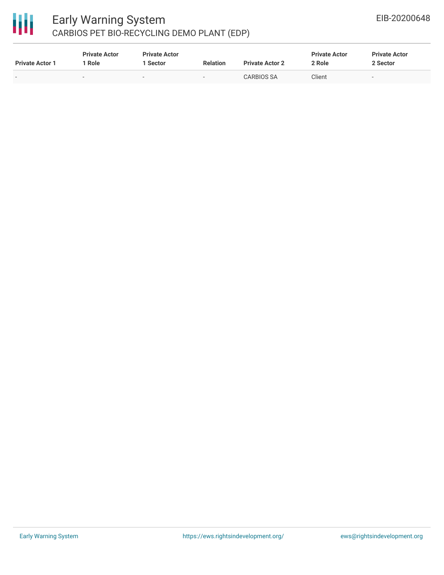

### Early Warning System CARBIOS PET BIO-RECYCLING DEMO PLANT (EDP)

| <b>Private Actor 1</b>   | <b>Private Actor</b><br>Role | <b>Private Actor</b><br>1 Sector | <b>Relation</b> | <b>Private Actor 2</b> | <b>Private Actor</b><br>2 Role | <b>Private Actor</b><br>2 Sector |  |
|--------------------------|------------------------------|----------------------------------|-----------------|------------------------|--------------------------------|----------------------------------|--|
| $\overline{\phantom{0}}$ |                              |                                  |                 | <b>CARBIOS SA</b>      | Client                         | $\overline{\phantom{0}}$         |  |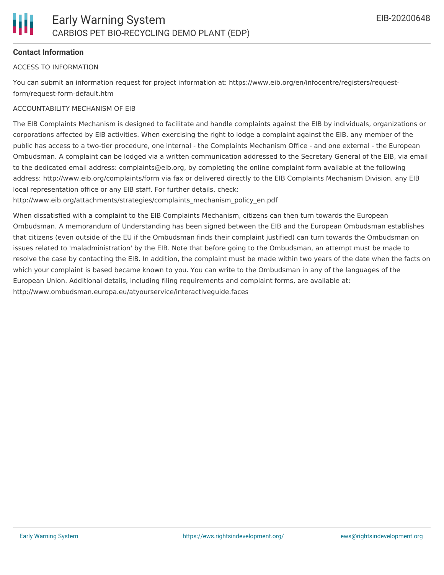

#### **Contact Information**

#### ACCESS TO INFORMATION

You can submit an information request for project information at: https://www.eib.org/en/infocentre/registers/requestform/request-form-default.htm

#### ACCOUNTABILITY MECHANISM OF EIB

The EIB Complaints Mechanism is designed to facilitate and handle complaints against the EIB by individuals, organizations or corporations affected by EIB activities. When exercising the right to lodge a complaint against the EIB, any member of the public has access to a two-tier procedure, one internal - the Complaints Mechanism Office - and one external - the European Ombudsman. A complaint can be lodged via a written communication addressed to the Secretary General of the EIB, via email to the dedicated email address: complaints@eib.org, by completing the online complaint form available at the following address: http://www.eib.org/complaints/form via fax or delivered directly to the EIB Complaints Mechanism Division, any EIB local representation office or any EIB staff. For further details, check:

http://www.eib.org/attachments/strategies/complaints\_mechanism\_policy\_en.pdf

When dissatisfied with a complaint to the EIB Complaints Mechanism, citizens can then turn towards the European Ombudsman. A memorandum of Understanding has been signed between the EIB and the European Ombudsman establishes that citizens (even outside of the EU if the Ombudsman finds their complaint justified) can turn towards the Ombudsman on issues related to 'maladministration' by the EIB. Note that before going to the Ombudsman, an attempt must be made to resolve the case by contacting the EIB. In addition, the complaint must be made within two years of the date when the facts on which your complaint is based became known to you. You can write to the Ombudsman in any of the languages of the European Union. Additional details, including filing requirements and complaint forms, are available at: http://www.ombudsman.europa.eu/atyourservice/interactiveguide.faces